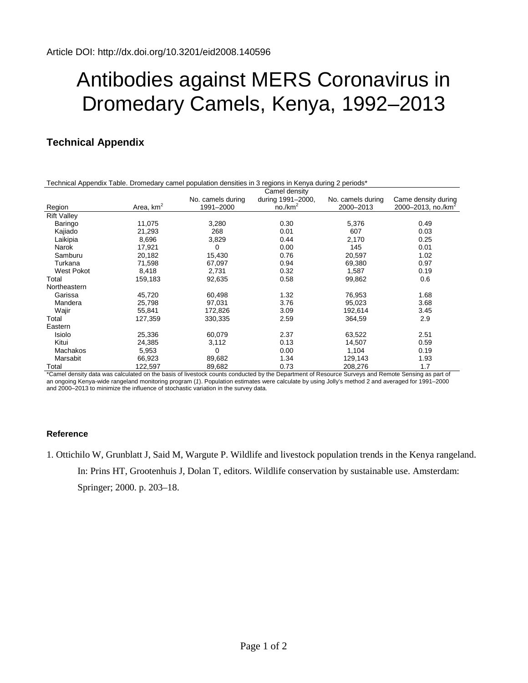## Antibodies against MERS Coronavirus in Dromedary Camels, Kenya, 1992–2013

## **Technical Appendix**

| Technical Appendix Table. Dromedary camel population densities in 3 regions in Kenya during 2 periods* |             |                                                                                                                                                                                                                                          |                   |                                            |                                |
|--------------------------------------------------------------------------------------------------------|-------------|------------------------------------------------------------------------------------------------------------------------------------------------------------------------------------------------------------------------------------------|-------------------|--------------------------------------------|--------------------------------|
|                                                                                                        |             | Camel density                                                                                                                                                                                                                            |                   |                                            |                                |
|                                                                                                        |             | No. camels during                                                                                                                                                                                                                        | during 1991-2000, | No. camels during                          | Came density during            |
| Region                                                                                                 | Area, $km2$ | 1991-2000                                                                                                                                                                                                                                | $no./km^2$        | 2000-2013                                  | 2000-2013, no./km <sup>2</sup> |
| <b>Rift Valley</b>                                                                                     |             |                                                                                                                                                                                                                                          |                   |                                            |                                |
| Baringo                                                                                                | 11,075      | 3,280                                                                                                                                                                                                                                    | 0.30              | 5,376                                      | 0.49                           |
| Kajiado                                                                                                | 21,293      | 268                                                                                                                                                                                                                                      | 0.01              | 607                                        | 0.03                           |
| Laikipia                                                                                               | 8,696       | 3,829                                                                                                                                                                                                                                    | 0.44              | 2,170                                      | 0.25                           |
| Narok                                                                                                  | 17,921      | 0                                                                                                                                                                                                                                        | 0.00              | 145                                        | 0.01                           |
| Samburu                                                                                                | 20,182      | 15,430                                                                                                                                                                                                                                   | 0.76              | 20,597                                     | 1.02                           |
| Turkana                                                                                                | 71,598      | 67,097                                                                                                                                                                                                                                   | 0.94              | 69,380                                     | 0.97                           |
| West Pokot                                                                                             | 8,418       | 2,731                                                                                                                                                                                                                                    | 0.32              | 1,587                                      | 0.19                           |
| Total                                                                                                  | 159,183     | 92,635                                                                                                                                                                                                                                   | 0.58              | 99,862                                     | 0.6                            |
| Northeastern                                                                                           |             |                                                                                                                                                                                                                                          |                   |                                            |                                |
| Garissa                                                                                                | 45,720      | 60,498                                                                                                                                                                                                                                   | 1.32              | 76,953                                     | 1.68                           |
| Mandera                                                                                                | 25,798      | 97,031                                                                                                                                                                                                                                   | 3.76              | 95,023                                     | 3.68                           |
| Wajir                                                                                                  | 55,841      | 172,826                                                                                                                                                                                                                                  | 3.09              | 192,614                                    | 3.45                           |
| Total                                                                                                  | 127,359     | 330,335                                                                                                                                                                                                                                  | 2.59              | 364,59                                     | 2.9                            |
| Eastern                                                                                                |             |                                                                                                                                                                                                                                          |                   |                                            |                                |
| Isiolo                                                                                                 | 25,336      | 60,079                                                                                                                                                                                                                                   | 2.37              | 63,522                                     | 2.51                           |
| Kitui                                                                                                  | 24,385      | 3,112                                                                                                                                                                                                                                    | 0.13              | 14,507                                     | 0.59                           |
| <b>Machakos</b>                                                                                        | 5,953       | 0                                                                                                                                                                                                                                        | 0.00              | 1,104                                      | 0.19                           |
| Marsabit                                                                                               | 66,923      | 89,682                                                                                                                                                                                                                                   | 1.34              | 129,143                                    | 1.93                           |
| Total<br>$*$ $\alpha$ - and the set of the distribution of $*$                                         | 122,597     | 89,682<br>to the choice of the above the original contract of the contract of the contract of the contract of the contract of the contract of the contract of the contract of the contract of the contract of the contract of the contra | 0.73<br>$-10 - 1$ | 208,276<br>Original and Damate Original as | 1.7<br>$- - -$                 |

Camel density data was calculated on the basis of livestock counts conducted by the Department of Resource Surveys and Remote Sensing as p an ongoing Kenya-wide rangeland monitoring program (*1*). Population estimates were calculate by using Jolly's method 2 and averaged for 1991–2000 and 2000–2013 to minimize the influence of stochastic variation in the survey data.

## **Reference**

1. Ottichilo W, Grunblatt J, Said M, Wargute P. Wildlife and livestock population trends in the Kenya rangeland. In: Prins HT, Grootenhuis J, Dolan T, editors. Wildlife conservation by sustainable use. Amsterdam: Springer; 2000. p. 203–18.